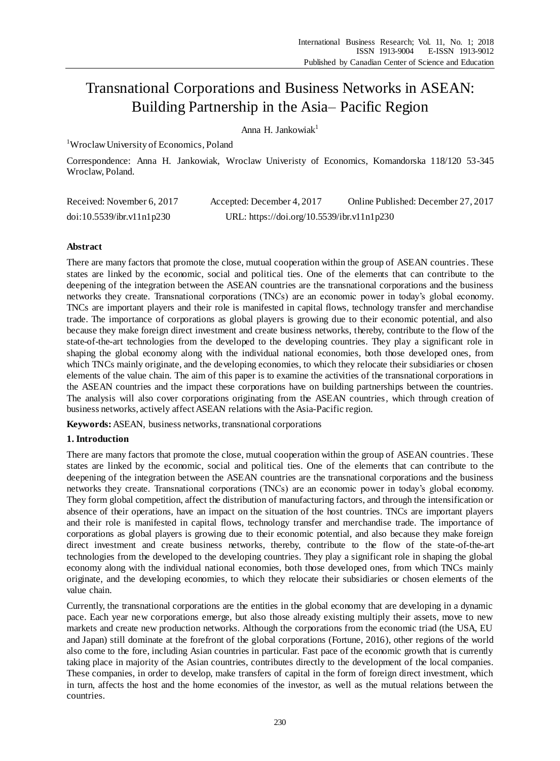# Transnational Corporations and Business Networks in ASEAN: Building Partnership in the Asia– Pacific Region

Anna H. Jankowiak $<sup>1</sup>$ </sup>

<sup>1</sup>Wroclaw University of Economics, Poland

Correspondence: Anna H. Jankowiak, Wroclaw Univeristy of Economics, Komandorska 118/120 53-345 Wroclaw, Poland.

| Received: November 6, 2017 | Accepted: December 4, 2017                 | Online Published: December 27, 2017 |
|----------------------------|--------------------------------------------|-------------------------------------|
| doi:10.5539/ibr.v11nlp230  | URL: https://doi.org/10.5539/ibr.v11n1p230 |                                     |

# **Abstract**

There are many factors that promote the close, mutual cooperation within the group of ASEAN countries. These states are linked by the economic, social and political ties. One of the elements that can contribute to the deepening of the integration between the ASEAN countries are the transnational corporations and the business networks they create. Transnational corporations (TNCs) are an economic power in today's global economy. TNCs are important players and their role is manifested in capital flows, technology transfer and merchandise trade. The importance of corporations as global players is growing due to their economic potential, and also because they make foreign direct investment and create business networks, thereby, contribute to the flow of the state-of-the-art technologies from the developed to the developing countries. They play a significant role in shaping the global economy along with the individual national economies, both those developed ones, from which TNCs mainly originate, and the developing economies, to which they relocate their subsidiaries or chosen elements of the value chain. The aim of this paper is to examine the activities of the transnational corporations in the ASEAN countries and the impact these corporations have on building partnerships between the countries. The analysis will also cover corporations originating from the ASEAN countries, which through creation of business networks, actively affect ASEAN relations with the Asia-Pacific region.

**Keywords:**ASEAN, business networks, transnational corporations

## **1. Introduction**

There are many factors that promote the close, mutual cooperation within the group of ASEAN countries. These states are linked by the economic, social and political ties. One of the elements that can contribute to the deepening of the integration between the ASEAN countries are the transnational corporations and the business networks they create. Transnational corporations (TNCs) are an economic power in today's global economy. They form global competition, affect the distribution of manufacturing factors, and through the intensification or absence of their operations, have an impact on the situation of the host countries. TNCs are important players and their role is manifested in capital flows, technology transfer and merchandise trade. The importance of corporations as global players is growing due to their economic potential, and also because they make foreign direct investment and create business networks, thereby, contribute to the flow of the state-of-the-art technologies from the developed to the developing countries. They play a significant role in shaping the global economy along with the individual national economies, both those developed ones, from which TNCs mainly originate, and the developing economies, to which they relocate their subsidiaries or chosen elements of the value chain.

Currently, the transnational corporations are the entities in the global economy that are developing in a dynamic pace. Each year new corporations emerge, but also those already existing multiply their assets, move to new markets and create new production networks. Although the corporations from the economic triad (the USA, EU and Japan) still dominate at the forefront of the global corporations (Fortune, 2016), other regions of the world also come to the fore, including Asian countries in particular. Fast pace of the economic growth that is currently taking place in majority of the Asian countries, contributes directly to the development of the local companies. These companies, in order to develop, make transfers of capital in the form of foreign direct investment, which in turn, affects the host and the home economies of the investor, as well as the mutual relations between the countries.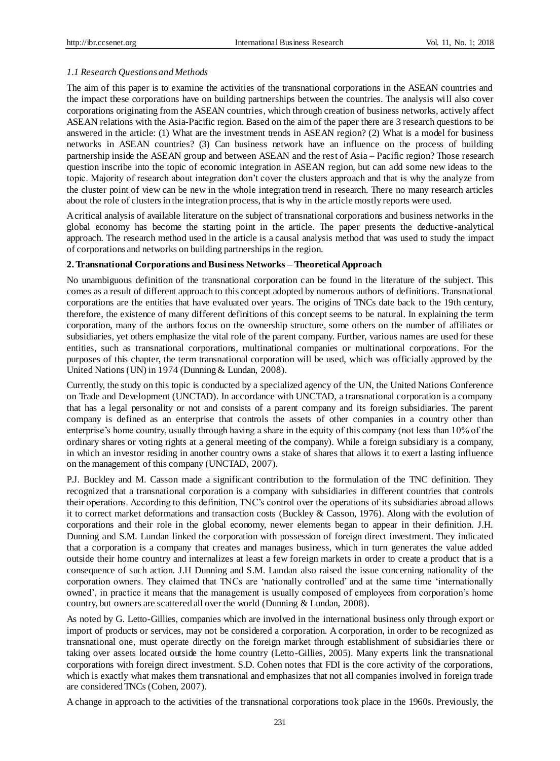## *1.1 Research Questions and Methods*

The aim of this paper is to examine the activities of the transnational corporations in the ASEAN countries and the impact these corporations have on building partnerships between the countries. The analysis will also cover corporations originating from the ASEAN countries, which through creation of business networks, actively affect ASEAN relations with the Asia-Pacific region. Based on the aim of the paper there are 3 research questions to be answered in the article: (1) What are the investment trends in ASEAN region? (2) What is a model for business networks in ASEAN countries? (3) Can business network have an influence on the process of building partnership inside the ASEAN group and between ASEAN and the rest of Asia – Pacific region? Those research question inscribe into the topic of economic integration in ASEAN region, but can add some new ideas to the topic. Majority of research about integration don't cover the clusters approach and that is why the analyze from the cluster point of view can be new in the whole integration trend in research. There no many research articles about the role of clusters in the integration process, that is why in the article mostly reports were used.

A critical analysis of available literature on the subject of transnational corporations and business networks in the global economy has become the starting point in the article. The paper presents the deductive-analytical approach. The research method used in the article is a causal analysis method that was used to study the impact of corporations and networks on building partnerships in the region.

#### **2. Transnational Corporations and Business Networks – Theoretical Approach**

No unambiguous definition of the transnational corporation can be found in the literature of the subject. This comes as a result of different approach to this concept adopted by numerous authors of definitions. Transnational corporations are the entities that have evaluated over years. The origins of TNCs date back to the 19th century, therefore, the existence of many different definitions of this concept seems to be natural. In explaining the term corporation, many of the authors focus on the ownership structure, some others on the number of affiliates or subsidiaries, yet others emphasize the vital role of the parent company. Further, various names are used for these entities, such as transnational corporations, multinational companies or multinational corporations. For the purposes of this chapter, the term transnational corporation will be used, which was officially approved by the United Nations (UN) in 1974 (Dunning & Lundan, 2008).

Currently, the study on this topic is conducted by a specialized agency of the UN, the United Nations Conference on Trade and Development (UNCTAD). In accordance with UNCTAD, a transnational corporation is a company that has a legal personality or not and consists of a parent company and its foreign subsidiaries. The parent company is defined as an enterprise that controls the assets of other companies in a country other than enterprise's home country, usually through having a share in the equity of this company (not less than 10% of the ordinary shares or voting rights at a general meeting of the company). While a foreign subsidiary is a company, in which an investor residing in another country owns a stake of shares that allows it to exert a lasting influence on the management of this company (UNCTAD, 2007).

P.J. Buckley and M. Casson made a significant contribution to the formulation of the TNC definition. They recognized that a transnational corporation is a company with subsidiaries in different countries that controls their operations. According to this definition, TNC's control over the operations of its subsidiaries abroad allows it to correct market deformations and transaction costs (Buckley & Casson, 1976). Along with the evolution of corporations and their role in the global economy, newer elements began to appear in their definition. J.H. Dunning and S.M. Lundan linked the corporation with possession of foreign direct investment. They indicated that a corporation is a company that creates and manages business, which in turn generates the value added outside their home country and internalizes at least a few foreign markets in order to create a product that is a consequence of such action. J.H Dunning and S.M. Lundan also raised the issue concerning nationality of the corporation owners. They claimed that TNCs are 'nationally controlled' and at the same time 'internationally owned', in practice it means that the management is usually composed of employees from corporation's home country, but owners are scattered all over the world (Dunning & Lundan, 2008).

As noted by G. Letto-Gillies, companies which are involved in the international business only through export or import of products or services, may not be considered a corporation. A corporation, in order to be recognized as transnational one, must operate directly on the foreign market through establishment of subsidiaries there or taking over assets located outside the home country (Letto-Gillies, 2005). Many experts link the transnational corporations with foreign direct investment. S.D. Cohen notes that FDI is the core activity of the corporations, which is exactly what makes them transnational and emphasizes that not all companies involved in foreign trade are considered TNCs (Cohen, 2007).

A change in approach to the activities of the transnational corporations took place in the 1960s. Previously, the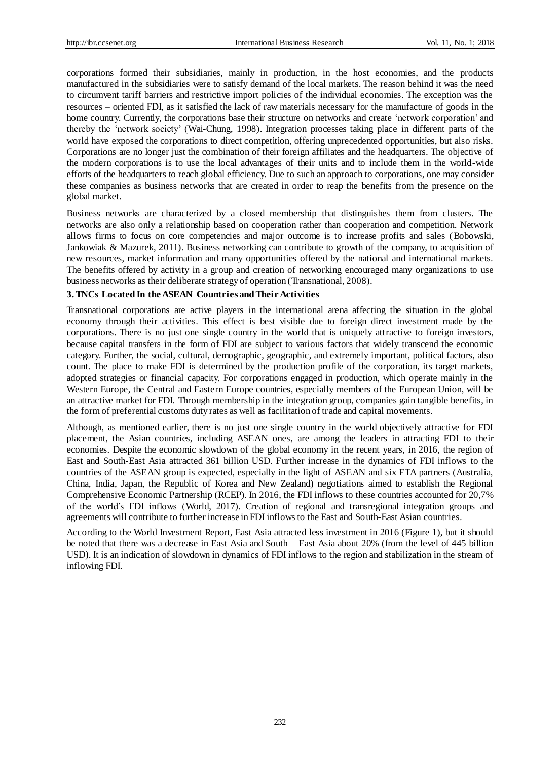corporations formed their subsidiaries, mainly in production, in the host economies, and the products manufactured in the subsidiaries were to satisfy demand of the local markets. The reason behind it was the need to circumvent tariff barriers and restrictive import policies of the individual economies. The exception was the resources – oriented FDI, as it satisfied the lack of raw materials necessary for the manufacture of goods in the home country. Currently, the corporations base their structure on networks and create 'network corporation' and thereby the 'network society' (Wai-Chung, 1998). Integration processes taking place in different parts of the world have exposed the corporations to direct competition, offering unprecedented opportunities, but also risks. Corporations are no longer just the combination of their foreign affiliates and the headquarters. The objective of the modern corporations is to use the local advantages of their units and to include them in the world-wide efforts of the headquarters to reach global efficiency. Due to such an approach to corporations, one may consider these companies as business networks that are created in order to reap the benefits from the presence on the global market.

Business networks are characterized by a closed membership that distinguishes them from clusters. The networks are also only a relationship based on cooperation rather than cooperation and competition. Network allows firms to focus on core competencies and major outcome is to increase profits and sales (Bobowski, Jankowiak & Mazurek, 2011). Business networking can contribute to growth of the company, to acquisition of new resources, market information and many opportunities offered by the national and international markets. The benefits offered by activity in a group and creation of networking encouraged many organizations to use business networks as their deliberate strategy of operation (Transnational, 2008).

## **3. TNCs Located In the ASEAN Countries and Their Activities**

Transnational corporations are active players in the international arena affecting the situation in the global economy through their activities. This effect is best visible due to foreign direct investment made by the corporations. There is no just one single country in the world that is uniquely attractive to foreign investors, because capital transfers in the form of FDI are subject to various factors that widely transcend the economic category. Further, the social, cultural, demographic, geographic, and extremely important, political factors, also count. The place to make FDI is determined by the production profile of the corporation, its target markets, adopted strategies or financial capacity. For corporations engaged in production, which operate mainly in the Western Europe, the Central and Eastern Europe countries, especially members of the European Union, will be an attractive market for FDI. Through membership in the integration group, companies gain tangible benefits, in the form of preferential customs duty rates as well as facilitation of trade and capital movements.

Although, as mentioned earlier, there is no just one single country in the world objectively attractive for FDI placement, the Asian countries, including ASEAN ones, are among the leaders in attracting FDI to their economies. Despite the economic slowdown of the global economy in the recent years, in 2016, the region of East and South-East Asia attracted 361 billion USD. Further increase in the dynamics of FDI inflows to the countries of the ASEAN group is expected, especially in the light of ASEAN and six FTA partners (Australia, China, India, Japan, the Republic of Korea and New Zealand) negotiations aimed to establish the Regional Comprehensive Economic Partnership (RCEP). In 2016, the FDI inflows to these countries accounted for 20,7% of the world's FDI inflows (World, 2017). Creation of regional and transregional integration groups and agreements will contribute to further increase in FDI inflows to the East and South-East Asian countries.

According to the World Investment Report, East Asia attracted less investment in 2016 (Figure 1), but it should be noted that there was a decrease in East Asia and South – East Asia about 20% (from the level of 445 billion USD). It is an indication of slowdown in dynamics of FDI inflows to the region and stabilization in the stream of inflowing FDI.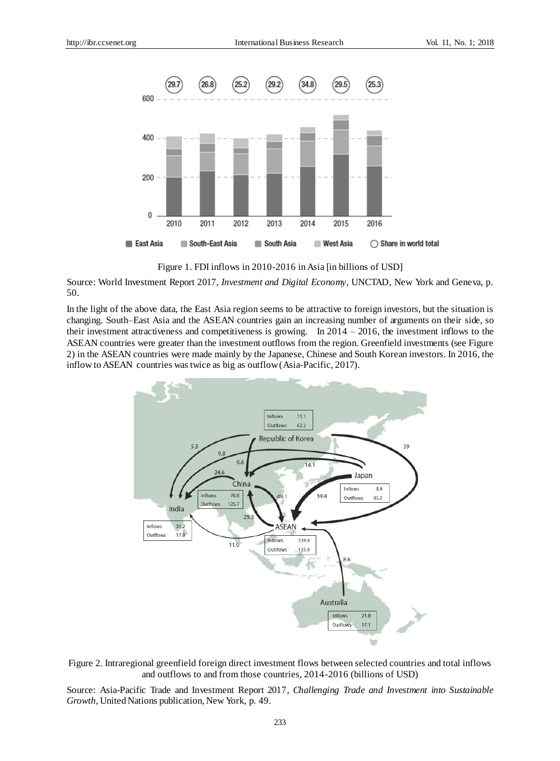

Figure 1. FDI inflows in 2010-2016 in Asia [in billions of USD]

Source: World Investment Report 2017, *Investment and Digital Economy*, UNCTAD, New York and Geneva, p. 50.

In the light of the above data, the East Asia region seems to be attractive to foreign investors, but the situation is changing. South–East Asia and the ASEAN countries gain an increasing number of arguments on their side, so their investment attractiveness and competitiveness is growing. In  $2014 - 2016$ , the investment inflows to the ASEAN countries were greater than the investment outflows from the region. Greenfield investments (see Figure 2) in the ASEAN countries were made mainly by the Japanese, Chinese and South Korean investors. In 2016, the inflow to ASEAN countries was twice as big as outflow (Asia-Pacific, 2017).



Figure 2. Intraregional greenfield foreign direct investment flows between selected countries and total inflows and outflows to and from those countries, 2014-2016 (billions of USD)

Source: Asia-Pacific Trade and Investment Report 2017*, Challenging Trade and Investment into Sustainable Growth*, United Nations publication, New York, p. 49.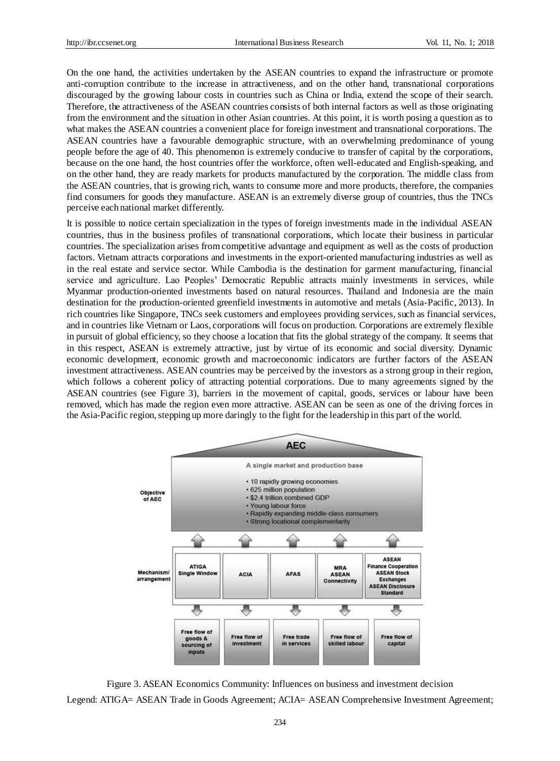On the one hand, the activities undertaken by the ASEAN countries to expand the infrastructure or promote anti-corruption contribute to the increase in attractiveness, and on the other hand, transnational corporations discouraged by the growing labour costs in countries such as China or India, extend the scope of their search. Therefore, the attractiveness of the ASEAN countries consists of both internal factors as well as those originating from the environment and the situation in other Asian countries. At this point, it is worth posing a question as to what makes the ASEAN countries a convenient place for foreign investment and transnational corporations. The ASEAN countries have a favourable demographic structure, with an overwhelming predominance of young people before the age of 40. This phenomenon is extremely conducive to transfer of capital by the corporations, because on the one hand, the host countries offer the workforce, often well-educated and English-speaking, and on the other hand, they are ready markets for products manufactured by the corporation. The middle class from the ASEAN countries, that is growing rich, wants to consume more and more products, therefore, the companies find consumers for goods they manufacture. ASEAN is an extremely diverse group of countries, thus the TNCs perceive each national market differently.

It is possible to notice certain specialization in the types of foreign investments made in the individual ASEAN countries, thus in the business profiles of transnational corporations, which locate their business in particular countries. The specialization arises from competitive advantage and equipment as well as the costs of production factors. Vietnam attracts corporations and investments in the export-oriented manufacturing industries as well as in the real estate and service sector. While Cambodia is the destination for garment manufacturing, financial service and agriculture. Lao Peoples' Democratic Republic attracts mainly investments in services, while Myanmar production-oriented investments based on natural resources. Thailand and Indonesia are the main destination for the production-oriented greenfield investments in automotive and metals (Asia-Pacific, 2013). In rich countries like Singapore, TNCs seek customers and employees providing services, such as financial services, and in countries like Vietnam or Laos, corporations will focus on production. Corporations are extremely flexible in pursuit of global efficiency, so they choose a location that fits the global strategy of the company. It seems that in this respect, ASEAN is extremely attractive, just by virtue of its economic and social diversity. Dynamic economic development, economic growth and macroeconomic indicators are further factors of the ASEAN investment attractiveness. ASEAN countries may be perceived by the investors as a strong group in their region, which follows a coherent policy of attracting potential corporations. Due to many agreements signed by the ASEAN countries (see Figure 3), barriers in the movement of capital, goods, services or labour have been removed, which has made the region even more attractive. ASEAN can be seen as one of the driving forces in the Asia-Pacific region, stepping up more daringly to the fight for the leadership in this part of the world.



Figure 3. ASEAN Economics Community: Influences on business and investment decision Legend: ATIGA= ASEAN Trade in Goods Agreement; ACIA= ASEAN Comprehensive Investment Agreement;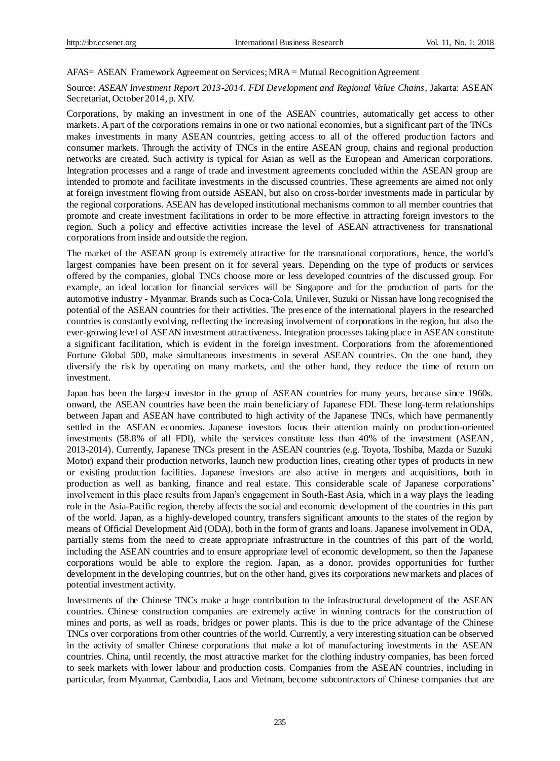## AFAS= ASEAN Framework Agreement on Services; MRA = Mutual Recognition Agreement

## Source: *ASEAN Investment Report 2013-2014. FDI Development and Regional Value Chains*, Jakarta: ASEAN Secretariat, October 2014, p. XIV.

Corporations, by making an investment in one of the ASEAN countries, automatically get access to other markets. A part of the corporations remains in one or two national economies, but a significant part of the TNCs makes investments in many ASEAN countries, getting access to all of the offered production factors and consumer markets. Through the activity of TNCs in the entire ASEAN group, chains and regional production networks are created. Such activity is typical for Asian as well as the European and American corporations. Integration processes and a range of trade and investment agreements concluded within the ASEAN group are intended to promote and facilitate investments in the discussed countries. These agreements are aimed not only at foreign investment flowing from outside ASEAN, but also on cross-border investments made in particular by the regional corporations. ASEAN has developed institutional mechanisms common to all member countries that promote and create investment facilitations in order to be more effective in attracting foreign investors to the region. Such a policy and effective activities increase the level of ASEAN attractiveness for transnational corporations from inside and outside the region.

The market of the ASEAN group is extremely attractive for the transnational corporations, hence, the world's largest companies have been present on it for several years. Depending on the type of products or services offered by the companies, global TNCs choose more or less developed countries of the discussed group. For example, an ideal location for financial services will be Singapore and for the production of parts for the automotive industry - Myanmar. Brands such as Coca-Cola, Unilever, Suzuki or Nissan have long recognised the potential of the ASEAN countries for their activities. The presence of the international players in the researched countries is constantly evolving, reflecting the increasing involvement of corporations in the region, but also the ever-growing level of ASEAN investment attractiveness. Integration processes taking place in ASEAN constitute a significant facilitation, which is evident in the foreign investment. Corporations from the aforementioned Fortune Global 500, make simultaneous investments in several ASEAN countries. On the one hand, they diversify the risk by operating on many markets, and the other hand, they reduce the time of return on investment.

Japan has been the largest investor in the group of ASEAN countries for many years, because since 1960s. onward, the ASEAN countries have been the main beneficiary of Japanese FDI. These long-term relationships between Japan and ASEAN have contributed to high activity of the Japanese TNCs, which have permanently settled in the ASEAN economies. Japanese investors focus their attention mainly on production-oriented investments (58.8% of all FDI), while the services constitute less than 40% of the investment (ASEAN, 2013-2014). Currently, Japanese TNCs present in the ASEAN countries (e.g. Toyota, Toshiba, Mazda or Suzuki Motor) expand their production networks, launch new production lines, creating other types of products in new or existing production facilities. Japanese investors are also active in mergers and acquisitions, both in production as well as banking, finance and real estate. This considerable scale of Japanese corporations' involvement in this place results from Japan's engagement in South-East Asia, which in a way plays the leading role in the Asia-Pacific region, thereby affects the social and economic development of the countries in this part of the world. Japan, as a highly-developed country, transfers significant amounts to the states of the region by means of Official Development Aid (ODA), both in the form of grants and loans. Japanese involvement in ODA, partially stems from the need to create appropriate infrastructure in the countries of this part of the world, including the ASEAN countries and to ensure appropriate level of economic development, so then the Japanese corporations would be able to explore the region. Japan, as a donor, provides opportunities for further development in the developing countries, but on the other hand, gives its corporations new markets and places of potential investment activity.

Investments of the Chinese TNCs make a huge contribution to the infrastructural development of the ASEAN countries. Chinese construction companies are extremely active in winning contracts for the construction of mines and ports, as well as roads, bridges or power plants. This is due to the price advantage of the Chinese TNCs over corporations from other countries of the world. Currently, a very interesting situation can be observed in the activity of smaller Chinese corporations that make a lot of manufacturing investments in the ASEAN countries. China, until recently, the most attractive market for the clothing industry companies, has been forced to seek markets with lower labour and production costs. Companies from the ASEAN countries, including in particular, from Myanmar, Cambodia, Laos and Vietnam, become subcontractors of Chinese companies that are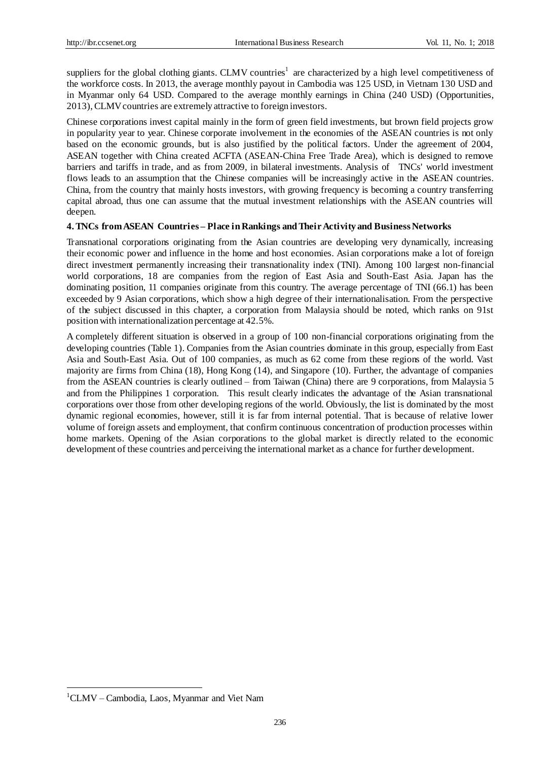suppliers for the global clothing giants. CLMV countries<sup>1</sup> are characterized by a high level competitiveness of the workforce costs. In 2013, the average monthly payout in Cambodia was 125 USD, in Vietnam 130 USD and in Myanmar only 64 USD. Compared to the average monthly earnings in China (240 USD) (Opportunities, 2013), CLMV countries are extremely attractive to foreign investors.

Chinese corporations invest capital mainly in the form of green field investments, but brown field projects grow in popularity year to year. Chinese corporate involvement in the economies of the ASEAN countries is not only based on the economic grounds, but is also justified by the political factors. Under the agreement of 2004, ASEAN together with China created ACFTA (ASEAN-China Free Trade Area), which is designed to remove barriers and tariffs in trade, and as from 2009, in bilateral investments. Analysis of TNCs' world investment flows leads to an assumption that the Chinese companies will be increasingly active in the ASEAN countries. China, from the country that mainly hosts investors, with growing frequency is becoming a country transferring capital abroad, thus one can assume that the mutual investment relationships with the ASEAN countries will deepen.

## **4. TNCs fromASEAN Countries – Place in Rankings and Their Activity and Business Networks**

Transnational corporations originating from the Asian countries are developing very dynamically, increasing their economic power and influence in the home and host economies. Asian corporations make a lot of foreign direct investment permanently increasing their transnationality index (TNI). Among 100 largest non-financial world corporations, 18 are companies from the region of East Asia and South-East Asia. Japan has the dominating position, 11 companies originate from this country. The average percentage of TNI (66.1) has been exceeded by 9 Asian corporations, which show a high degree of their internationalisation. From the perspective of the subject discussed in this chapter, a corporation from Malaysia should be noted, which ranks on 91st position with internationalization percentage at 42.5%.

A completely different situation is observed in a group of 100 non-financial corporations originating from the developing countries (Table 1). Companies from the Asian countries dominate in this group, especially from East Asia and South-East Asia. Out of 100 companies, as much as 62 come from these regions of the world. Vast majority are firms from China (18), Hong Kong (14), and Singapore (10). Further, the advantage of companies from the ASEAN countries is clearly outlined – from Taiwan (China) there are 9 corporations, from Malaysia 5 and from the Philippines 1 corporation. This result clearly indicates the advantage of the Asian transnational corporations over those from other developing regions of the world. Obviously, the list is dominated by the most dynamic regional economies, however, still it is far from internal potential. That is because of relative lower volume of foreign assets and employment, that confirm continuous concentration of production processes within home markets. Opening of the Asian corporations to the global market is directly related to the economic development of these countries and perceiving the international market as a chance for further development.

1

<sup>&</sup>lt;sup>1</sup>CLMV – Cambodia, Laos, Myanmar and Viet Nam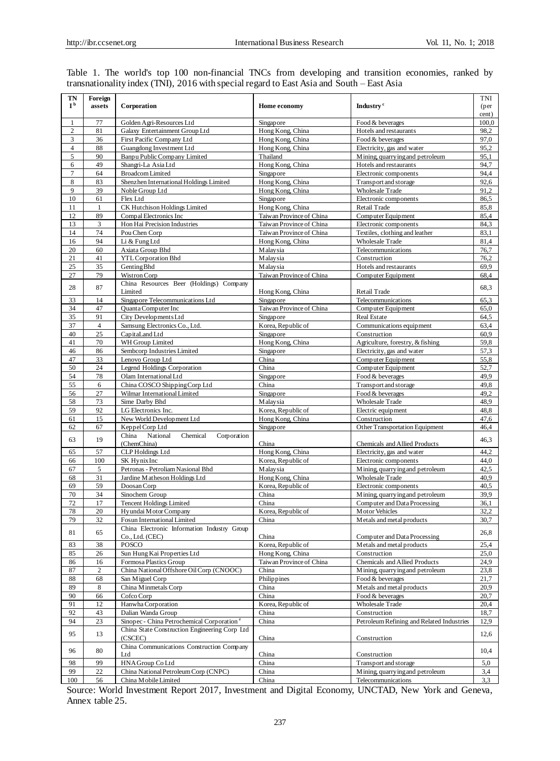| TN<br>I <sub>p</sub> | Foreign<br>assets | Corporation                                            | Home economy                                 | Industry <sup>c</sup>                                | TNI<br>(per)<br>cent) |
|----------------------|-------------------|--------------------------------------------------------|----------------------------------------------|------------------------------------------------------|-----------------------|
| 1                    | 77                | Golden Agri-Resources Ltd                              | Singap ore                                   | Food & beverages                                     | 100,0                 |
| $\overline{c}$       | 81                | Galaxy Entertainment Group Ltd                         | Hong Kong, China                             | Hotels and restaurants                               | 98,2                  |
| 3                    | 36                | First Pacific Company Ltd                              | Hong Kong, China                             | Food & beverages                                     | 97,0                  |
| $\overline{4}$       | 88                | Guangdong Investment Ltd                               | Hong Kong, China                             | Electricity, gas and water                           | 95,2                  |
| 5                    | 90                | Banpu Public Company Limited                           | Thailand                                     | Mining, quarrying and petroleum                      | 95,1                  |
| 6                    | 49                | Shangri-La Asia Ltd                                    | Hong Kong, China                             | Hotels and restaurants                               | 94,7                  |
| $\overline{7}$       | 64                | <b>Broadcom Limited</b>                                | <b>Singapore</b>                             | Electronic components                                | 94,4                  |
| 8                    | 83                | Shenzhen International Holdings Limited                | Hong Kong, China                             | Transport and storage                                | 92,6                  |
| 9                    | 39                | Noble Group Ltd                                        | Hong Kong, China                             | <b>Wholesale Trade</b>                               | 91,2                  |
| 10                   | 61                | Flex Ltd                                               | Singapore                                    | Electronic components                                | 86,5                  |
| 11                   | $\mathbf{1}$      | CK Hutchison Holdings Limited                          | Hong Kong, China                             | Retail Trade                                         | 85,8                  |
| 12                   | 89                | Compal Electronics Inc                                 | Taiwan Province of China                     | Computer Equipment                                   | 85,4                  |
| 13                   | 3                 | Hon Hai Precision Industries                           | Taiwan Province of China                     | Electronic components                                | 84,3                  |
| 14                   | 74                | Pou Chen Corp                                          | Taiwan Province of China                     | Textiles, clothing and leather                       | 83,1                  |
| 16                   | 94                | Li & Fung Ltd                                          | Hong Kong, China                             | <b>Wholesale Trade</b>                               | 81,4                  |
| 20                   | 60                | Axiata Group Bhd                                       | M alay sia                                   | Telecommunications                                   | 76,7                  |
| 21                   | 41                | <b>YTL Corporation Bhd</b>                             | M alay sia                                   | Construction                                         | 76,2                  |
| 25                   | 35                | <b>Genting Bhd</b>                                     | M alay sia                                   | Hotels and restaurants                               | 69,9                  |
| 27                   | 79                | Wistron Corp                                           | Taiwan Province of China                     | Computer Equipment                                   | 68,4                  |
|                      |                   | China Resources Beer (Holdings) Company                |                                              |                                                      |                       |
| 28                   | 87                | Limited                                                | Hong Kong, China                             | Retail Trade                                         | 68,3                  |
| 33                   | 14                | Singapore Telecommunications Ltd                       | Singapore                                    | Telecommunications                                   | 65,3                  |
| 34                   | 47                | Quanta Computer Inc                                    | Taiwan Province of China                     | Computer Equipment                                   | 65,0                  |
| 35                   | 91                | City Developments Ltd                                  | Singapore                                    | Real Estate                                          | 64,5                  |
| 37                   | $\overline{4}$    | Samsung Electronics Co., Ltd.                          | Korea, Republic of                           | Communications equipment                             | 63,4                  |
| 40                   | 25                | CapitaLand Ltd                                         | Singapore                                    | Construction                                         | 60,9                  |
| 41                   | 70                | WH Group Limited                                       | Hong Kong, China                             | Agriculture, forestry, & fishing                     | 59,8                  |
| 46                   | 86                | Sembcorp Industries Limited                            | <b>Singapore</b>                             | Electricity, gas and water                           | 57,3                  |
| 47                   | 33                | Lenovo Group Ltd                                       | China                                        | Computer Equipment                                   | 55,8                  |
| 50                   | 24                | <b>Legend Holdings Corporation</b>                     | China                                        | Computer Equipment                                   | 52,7                  |
| 54                   | 78                | Olam International Ltd                                 | Singapore                                    | Food & beverages                                     | 49,9                  |
| 55                   | 6                 | China COSCO Shipping Corp Ltd                          | China                                        | Transport and storage                                | 49,8                  |
| 56                   | 27                | Wilmar International Limited                           | Singapore                                    | Food & beverages                                     | 49.2                  |
| 58                   | 73                | Sime Darby Bhd                                         | M alay sia                                   | <b>Wholesale Trade</b>                               | 48,9                  |
| 59                   | 92                | LG Electronics Inc.                                    | Korea, Republic of                           | Electric equipment                                   | 48,8                  |
| 61                   | 15                | New World Development Ltd                              | Hong Kong, China                             | Construction                                         | 47,6                  |
| 62                   | 67                | Keppel Corp Ltd                                        | Singapore                                    | Other Transportation Equipment                       | 46.4                  |
| 63                   | 19                | China<br>National<br>Chemical<br>Corporation           |                                              |                                                      | 46,3                  |
|                      |                   | (ChemChina)                                            | China                                        | <b>Chemicals and Allied Products</b>                 |                       |
| 65                   | 57                | CLP Holdings Ltd                                       | Hong Kong, China                             | Electricity, gas and water                           | 44,2                  |
| 66                   | 100               | SK Hynix Inc                                           | Korea, Republic of                           | Electronic components                                | 44,0                  |
| 67                   | 5                 | Petronas - Petroliam Nasional Bhd                      | M alay sia                                   | Mining, quarrying and petroleum                      | 42,5                  |
| 68                   | 31                | Jardine Matheson Holdings Ltd                          | Hong Kong, China                             | <b>Wholesale Trade</b>                               | 40,9                  |
| 69                   | 59                | Doosan Corp                                            | Korea, Republic of                           | Electronic components                                | 40,5                  |
| 70                   | 34                | Sinochem Group                                         | China                                        | Mining, quarrying and petroleum                      | 39,9                  |
| 72                   | 17                | <b>Tencent Holdings Limited</b>                        | China                                        | Computer and Data Processing                         | 36,1                  |
| 78                   | 20                | Hy undai M otor Company                                | Korea, Republic of                           | Motor Vehicles                                       | 32,2                  |
| 79                   | 32                | Fosun International Limited                            | China                                        | Metals and metal products                            | 30,7                  |
| 81                   | 65                | China Electronic Information Industry Group            | China                                        | Computer and Data Processing                         | 26,8                  |
| 83                   | 38                | Co., Ltd. (CEC)<br>POSCO                               | Korea, Republic of                           | Metals and metal products                            | 25,4                  |
|                      |                   |                                                        |                                              |                                                      |                       |
| 85<br>86             | 26<br>16          | Sun Hung Kai Properties Ltd<br>Formosa Plastics Group  | Hong Kong, China<br>Taiwan Province of China | Construction<br><b>Chemicals and Allied Products</b> | 25,0<br>24,9          |
|                      | $\overline{c}$    | China National Offshore Oil Corp (CNOOC)               |                                              |                                                      |                       |
| 87<br>88             | 68                | San Miguel Corp                                        | China<br>Philippines                         | Mining, quarrying and petroleum<br>Food & beverages  | 23,8<br>21,7          |
| 89                   | 8                 | China Minmetals Corp                                   | China                                        | Metals and metal products                            | 20,9                  |
| 90                   | 66                |                                                        | China                                        | Food & beverages                                     | 20,7                  |
| 91                   | 12                | Cofco Corp<br>Hanwha Corporation                       | Korea, Republic of                           | <b>Wholesale Trade</b>                               | 20,4                  |
| 92                   | 43                | Dalian Wanda Group                                     |                                              | Construction                                         |                       |
|                      | 23                | Sinopec - China Petrochemical Corporation <sup>e</sup> | China                                        |                                                      | 18,7                  |
| 94                   |                   |                                                        | China                                        | Petroleum Refining and Related Industries            | 12,9                  |
| 95                   | 13                | China State Construction Engineering Corp Ltd          |                                              |                                                      | 12,6                  |
|                      |                   | (CSCEC)                                                | China                                        | Construction                                         |                       |
| 96                   | 80                | China Communications Construction Company<br>Ltd       | China                                        | Construction                                         | 10,4                  |
| 98                   | 99                | HNA Group Co Ltd                                       | China                                        | Transport and storage                                | 5,0                   |
| 99                   | 22                | China National Petroleum Corp (CNPC)                   | China                                        | Mining, quarrying and petroleum                      | 3,4                   |
| 100                  | 56                | China Mobile Limited                                   | China                                        | Telecommunications                                   | 3,3                   |
|                      |                   |                                                        |                                              |                                                      |                       |

# Table 1. The world's top 100 non-financial TNCs from developing and transition economies, ranked by transnationality index (TNI), 2016 with special regard to East Asia and South – East Asia

Source: World Investment Report 2017, Investment and Digital Economy, UNCTAD, New York and Geneva, Annex table 25.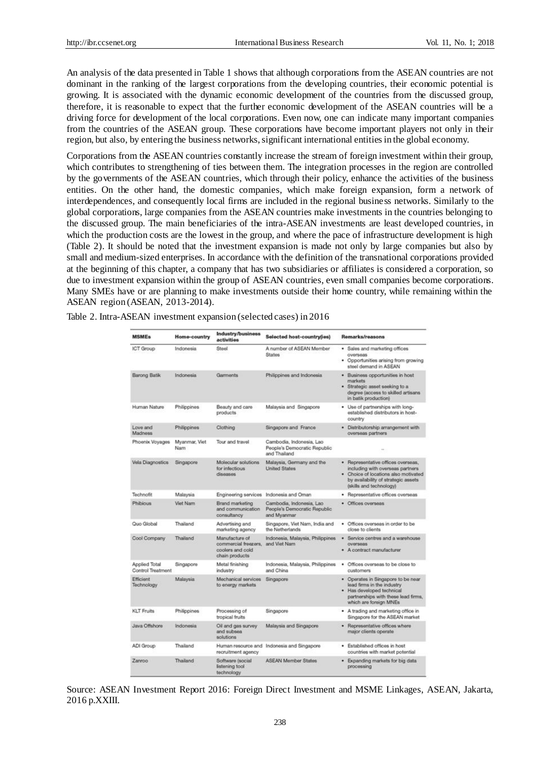An analysis of the data presented in Table 1 shows that although corporations from the ASEAN countries are not dominant in the ranking of the largest corporations from the developing countries, their economic potential is growing. It is associated with the dynamic economic development of the countries from the discussed group, therefore, it is reasonable to expect that the further economic development of the ASEAN countries will be a driving force for development of the local corporations. Even now, one can indicate many important companies from the countries of the ASEAN group. These corporations have become important players not only in their region, but also, by entering the business networks, significant international entities in the global economy.

Corporations from the ASEAN countries constantly increase the stream of foreign investment within their group, which contributes to strengthening of ties between them. The integration processes in the region are controlled by the governments of the ASEAN countries, which through their policy, enhance the activities of the business entities. On the other hand, the domestic companies, which make foreign expansion, form a network of interdependences, and consequently local firms are included in the regional business networks. Similarly to the global corporations, large companies from the ASEAN countries make investments in the countries belonging to the discussed group. The main beneficiaries of the intra-ASEAN investments are least developed countries, in which the production costs are the lowest in the group, and where the pace of infrastructure development is high (Table 2). It should be noted that the investment expansion is made not only by large companies but also by small and medium-sized enterprises. In accordance with the definition of the transnational corporations provided at the beginning of this chapter, a company that has two subsidiaries or affiliates is considered a corporation, so due to investment expansion within the group of ASEAN countries, even small companies become corporations. Many SMEs have or are planning to make investments outside their home country, while remaining within the ASEAN region (ASEAN, 2013-2014).

| Table 2. Intra-ASEAN investment expansion (selected cases) in 2016                                                                                                                                                             |  |
|--------------------------------------------------------------------------------------------------------------------------------------------------------------------------------------------------------------------------------|--|
| The change of the control of the control of the control of the control of the control of the control of the control of the control of the control of the control of the control of the control of the control of the control o |  |

| <b>MSMEs</b>                       | Home-country         | Industry/business<br>activities                                                           | Selected host-country(ies)                                               | Remarks/reasons                                                                                                                                                                  |
|------------------------------------|----------------------|-------------------------------------------------------------------------------------------|--------------------------------------------------------------------------|----------------------------------------------------------------------------------------------------------------------------------------------------------------------------------|
| <b>ICT Group</b>                   | Indonesia            | Steel                                                                                     | A number of ASEAN Member<br>States                                       | · Sales and marketing offices<br>overseas<br>· Opportunities arising from growing<br>steel demand in ASEAN                                                                       |
| Barong Batik                       | Indonesia            | Garments                                                                                  | Philippines and Indonesia                                                | · Business opportunities in host<br>markets<br>· Strategic asset seeking to a<br>degree (access to skilled artisans<br>in batik production)                                      |
| Human Nature                       | Philippines          | Beauty and care<br>products.                                                              | Malaysia and Singapore                                                   | . Use of partnerships with long-<br>established distributors in host-<br>country                                                                                                 |
| Love and<br>Madness                | Philippines          | Clothing                                                                                  | Singapore and France                                                     | · Distributorship arrangement with<br>overseas partners                                                                                                                          |
| Phoenix Voyages                    | Myanmar, Viet<br>Nam | Tour and travel                                                                           | Cambodia, Indonesia, Lao<br>People's Democratic Republic<br>and Thailand |                                                                                                                                                                                  |
| <b>Vela Diagnostics</b>            | Singapore            | Molecular solutions<br>for infectious<br>diseases                                         | Malaysia, Germany and the<br><b>United States</b>                        | · Representative offices overseas,<br>including with overseas partners<br>· Choice of locations also motivated<br>by availability of strategic assets<br>(skills and technology) |
| Technofit                          | Malaysia             | Engineering services                                                                      | Indonesia and Oman                                                       | · Representative offices overseas                                                                                                                                                |
| Phibious                           | Viet Nam             | Brand marketing<br>and communication<br>consultancy                                       | Cambodia, Indonesia, Lao<br>People's Democratic Republic<br>and Myanmar  | · Offices overseas                                                                                                                                                               |
| Quo Global                         | Thailand             | Advertising and<br>marketing agency                                                       | Singapore, Viet Nam, India and<br>the Netherlands                        | · Offices overseas in order to be<br>close to clients.                                                                                                                           |
| Cool Company                       | Thailand             | Manufacture of<br>commercial freezers, and Viet Nam<br>coolers and cold<br>chain products | Indonesia, Malaysia, Philippines                                         | · Service centres and a warehouse<br>overseas<br>· A contract manufacturer.                                                                                                      |
| Applied Total<br>Control Treatment | Singapore            | Metal finishing<br>industry                                                               | Indonesia, Malaysia, Philippines<br>and China                            | . Offices overseas to be close to<br>customers.                                                                                                                                  |
| <b>Efficient</b><br>Technology     | Malaysia             | Mechanical services<br>to energy markets                                                  | Singapore                                                                | · Operates in Singapore to be near<br>lead firms in the industry<br>· Has developed technical<br>partnerships with these lead firms,<br>which are foreign MNEs                   |
| <b>KLT Fruits</b>                  | Philippines          | Processing of<br>tropical fruits                                                          | Singapore                                                                | . A trading and marketing office in<br>Singapore for the ASEAN market                                                                                                            |
| Java Offshore                      | Indonesia            | Oil and gas survey<br>and subsea<br>solutions                                             | Malaysia and Singapore                                                   | · Representative offices where<br>major clients operate                                                                                                                          |
| ADI Group                          | Thailand             | recruitment agency                                                                        | Human resource and Indonesia and Singapore                               | · Established offices in host<br>countries with market potential                                                                                                                 |
| Zanroo                             | Thailand             | Software (social<br>listening tool<br>technology                                          | <b>ASEAN Member States</b>                                               | · Expanding markets for big data<br>processing                                                                                                                                   |

Source: ASEAN Investment Report 2016: Foreign Direct Investment and MSME Linkages, ASEAN, Jakarta, 2016 p.XXIII.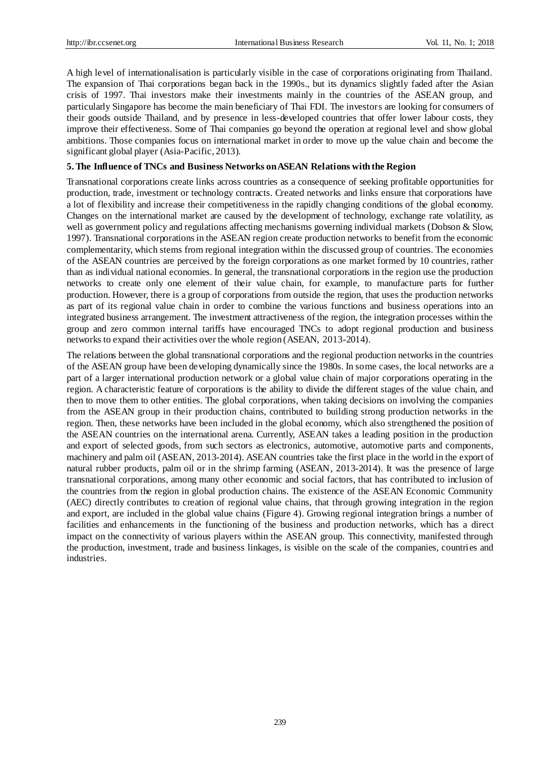A high level of internationalisation is particularly visible in the case of corporations originating from Thailand. The expansion of Thai corporations began back in the 1990s., but its dynamics slightly faded after the Asian crisis of 1997. Thai investors make their investments mainly in the countries of the ASEAN group, and particularly Singapore has become the main beneficiary of Thai FDI. The investors are looking for consumers of their goods outside Thailand, and by presence in less-developed countries that offer lower labour costs, they improve their effectiveness. Some of Thai companies go beyond the operation at regional level and show global ambitions. Those companies focus on international market in order to move up the value chain and become the significant global player (Asia-Pacific, 2013).

## **5. The Influence of TNCs and Business Networks on ASEAN Relations with the Region**

Transnational corporations create links across countries as a consequence of seeking profitable opportunities for production, trade, investment or technology contracts. Created networks and links ensure that corporations have a lot of flexibility and increase their competitiveness in the rapidly changing conditions of the global economy. Changes on the international market are caused by the development of technology, exchange rate volatility, as well as government policy and regulations affecting mechanisms governing individual markets (Dobson & Slow, 1997). Transnational corporations in the ASEAN region create production networks to benefit from the economic complementarity, which stems from regional integration within the discussed group of countries. The economies of the ASEAN countries are perceived by the foreign corporations as one market formed by 10 countries, rather than as individual national economies. In general, the transnational corporations in the region use the production networks to create only one element of their value chain, for example, to manufacture parts for further production. However, there is a group of corporations from outside the region, that uses the production networks as part of its regional value chain in order to combine the various functions and business operations into an integrated business arrangement. The investment attractiveness of the region, the integration processes within the group and zero common internal tariffs have encouraged TNCs to adopt regional production and business networks to expand their activities over the whole region (ASEAN, 2013-2014).

The relations between the global transnational corporations and the regional production networks in the countries of the ASEAN group have been developing dynamically since the 1980s. In some cases, the local networks are a part of a larger international production network or a global value chain of major corporations operating in the region. A characteristic feature of corporations is the ability to divide the different stages of the value chain, and then to move them to other entities. The global corporations, when taking decisions on involving the companies from the ASEAN group in their production chains, contributed to building strong production networks in the region. Then, these networks have been included in the global economy, which also strengthened the position of the ASEAN countries on the international arena. Currently, ASEAN takes a leading position in the production and export of selected goods, from such sectors as electronics, automotive, automotive parts and components, machinery and palm oil (ASEAN, 2013-2014). ASEAN countries take the first place in the world in the export of natural rubber products, palm oil or in the shrimp farming (ASEAN, 2013-2014). It was the presence of large transnational corporations, among many other economic and social factors, that has contributed to inclusion of the countries from the region in global production chains. The existence of the ASEAN Economic Community (AEC) directly contributes to creation of regional value chains, that through growing integration in the region and export, are included in the global value chains (Figure 4). Growing regional integration brings a number of facilities and enhancements in the functioning of the business and production networks, which has a direct impact on the connectivity of various players within the ASEAN group. This connectivity, manifested through the production, investment, trade and business linkages, is visible on the scale of the companies, countries and industries.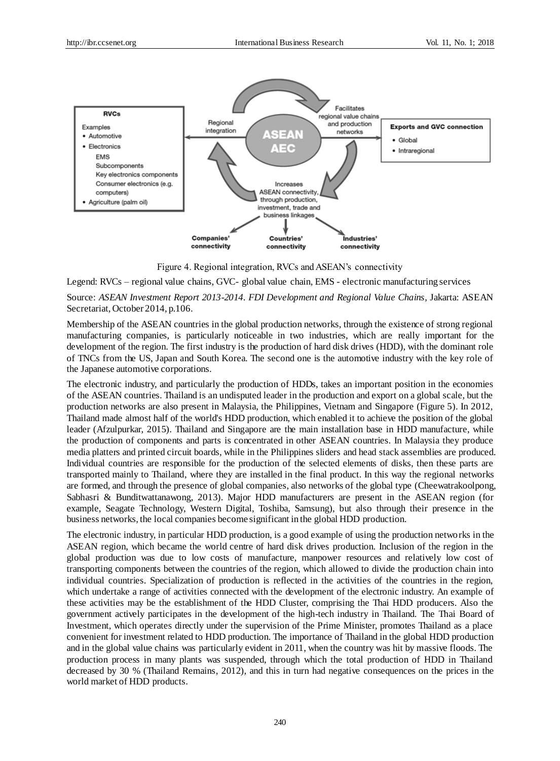

Figure 4. Regional integration, RVCs and ASEAN's connectivity

Legend: RVCs – regional value chains, GVC- global value chain, EMS - electronic manufacturing services

Source: *ASEAN Investment Report 2013-2014. FDI Development and Regional Value Chains*, Jakarta: ASEAN Secretariat, October 2014, p.106.

Membership of the ASEAN countries in the global production networks, through the existence of strong regional manufacturing companies, is particularly noticeable in two industries, which are really important for the development of the region. The first industry is the production of hard disk drives (HDD), with the dominant role of TNCs from the US, Japan and South Korea. The second one is the automotive industry with the key role of the Japanese automotive corporations.

The electronic industry, and particularly the production of HDDs, takes an important position in the economies of the ASEAN countries. Thailand is an undisputed leader in the production and export on a global scale, but the production networks are also present in Malaysia, the Philippines, Vietnam and Singapore (Figure 5). In 2012, Thailand made almost half of the world's HDD production, which enabled it to achieve the position of the global leader (Afzulpurkar, 2015). Thailand and Singapore are the main installation base in HDD manufacture, while the production of components and parts is concentrated in other ASEAN countries. In Malaysia they produce media platters and printed circuit boards, while in the Philippines sliders and head stack assemblies are produced. Individual countries are responsible for the production of the selected elements of disks, then these parts are transported mainly to Thailand, where they are installed in the final product. In this way the regional networks are formed, and through the presence of global companies, also networks of the global type (Cheewatrakoolpong, Sabhasri & Bunditwattanawong, 2013). Major HDD manufacturers are present in the ASEAN region (for example, Seagate Technology, Western Digital, Toshiba, Samsung), but also through their presence in the business networks, the local companies become significant in the global HDD production.

The electronic industry, in particular HDD production, is a good example of using the production networks in the ASEAN region, which became the world centre of hard disk drives production. Inclusion of the region in the global production was due to low costs of manufacture, manpower resources and relatively low cost of transporting components between the countries of the region, which allowed to divide the production chain into individual countries. Specialization of production is reflected in the activities of the countries in the region, which undertake a range of activities connected with the development of the electronic industry. An example of these activities may be the establishment of the HDD Cluster, comprising the Thai HDD producers. Also the government actively participates in the development of the high-tech industry in Thailand. The Thai Board of Investment, which operates directly under the supervision of the Prime Minister, promotes Thailand as a place convenient for investment related to HDD production. The importance of Thailand in the global HDD production and in the global value chains was particularly evident in 2011, when the country was hit by massive floods. The production process in many plants was suspended, through which the total production of HDD in Thailand decreased by 30 % (Thailand Remains, 2012), and this in turn had negative consequences on the prices in the world market of HDD products.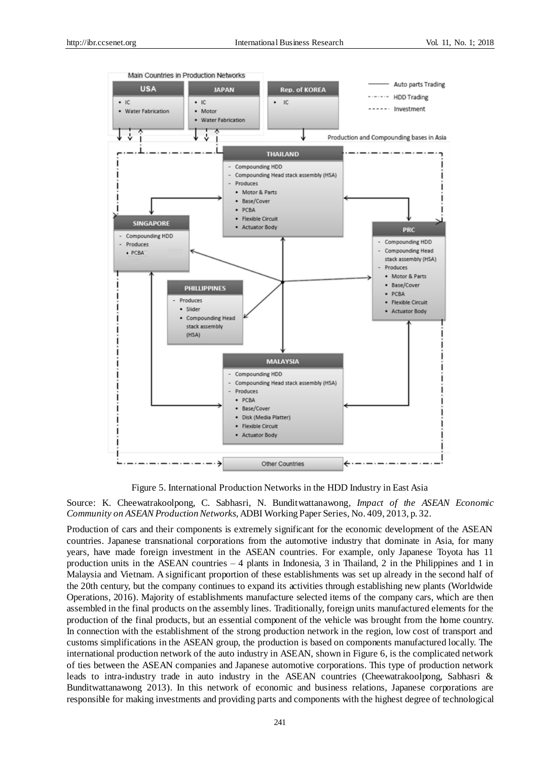

Figure 5. International Production Networks in the HDD Industry in East Asia

Source: K. Cheewatrakoolpong, C. Sabhasri, N. Bunditwattanawong*, Impact of the ASEAN Economic Community on ASEAN Production Networks*, ADBI Working Paper Series, No. 409, 2013, p. 32.

Production of cars and their components is extremely significant for the economic development of the ASEAN countries. Japanese transnational corporations from the automotive industry that dominate in Asia, for many years, have made foreign investment in the ASEAN countries. For example, only Japanese Toyota has 11 production units in the ASEAN countries  $-4$  plants in Indonesia, 3 in Thailand, 2 in the Philippines and 1 in Malaysia and Vietnam. A significant proportion of these establishments was set up already in the second half of the 20th century, but the company continues to expand its activities through establishing new plants (Worldwide Operations, 2016). Majority of establishments manufacture selected items of the company cars, which are then assembled in the final products on the assembly lines. Traditionally, foreign units manufactured elements for the production of the final products, but an essential component of the vehicle was brought from the home country. In connection with the establishment of the strong production network in the region, low cost of transport and customs simplifications in the ASEAN group, the production is based on components manufactured locally. The international production network of the auto industry in ASEAN, shown in Figure 6, is the complicated network of ties between the ASEAN companies and Japanese automotive corporations. This type of production network leads to intra-industry trade in auto industry in the ASEAN countries (Cheewatrakoolpong, Sabhasri & Bunditwattanawong 2013). In this network of economic and business relations, Japanese corporations are responsible for making investments and providing parts and components with the highest degree of technological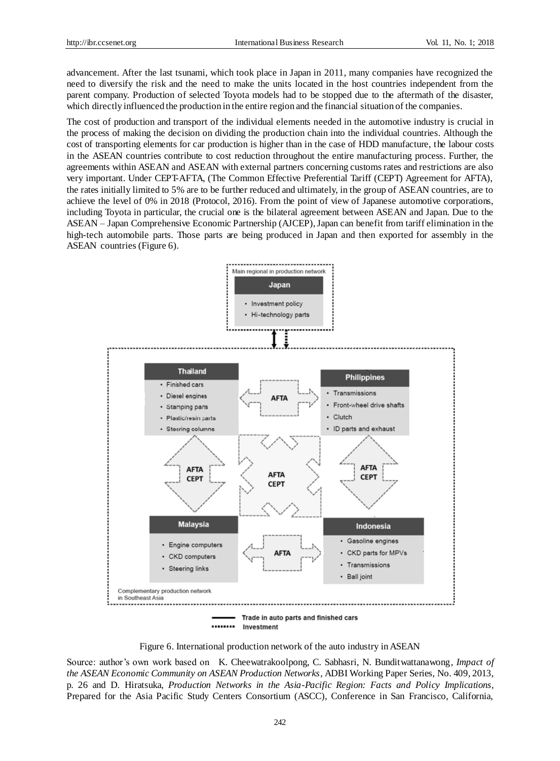advancement. After the last tsunami, which took place in Japan in 2011, many companies have recognized the need to diversify the risk and the need to make the units located in the host countries independent from the parent company. Production of selected Toyota models had to be stopped due to the aftermath of the disaster, which directly influenced the production in the entire region and the financial situation of the companies.

The cost of production and transport of the individual elements needed in the automotive industry is crucial in the process of making the decision on dividing the production chain into the individual countries. Although the cost of transporting elements for car production is higher than in the case of HDD manufacture, the labour costs in the ASEAN countries contribute to cost reduction throughout the entire manufacturing process. Further, the agreements within ASEAN and ASEAN with external partners concerning customs rates and restrictions are also very important. Under CEPT-AFTA, (The Common Effective Preferential Tariff (CEPT) Agreement for AFTA), the rates initially limited to 5% are to be further reduced and ultimately, in the group of ASEAN countries, are to achieve the level of 0% in 2018 (Protocol, 2016). From the point of view of Japanese automotive corporations, including Toyota in particular, the crucial one is the bilateral agreement between ASEAN and Japan. Due to the ASEAN – Japan Comprehensive Economic Partnership (AJCEP), Japan can benefit from tariff elimination in the high-tech automobile parts. Those parts are being produced in Japan and then exported for assembly in the ASEAN countries (Figure 6).



........ Investment

Figure 6. International production network of the auto industry in ASEAN

Source: author's own work based on K. Cheewatrakoolpong, C. Sabhasri, N. Bunditwattanawong*, Impact of the ASEAN Economic Community on ASEAN Production Networks*, ADBI Working Paper Series, No. 409, 2013, p. 26 and D. Hiratsuka, *Production Networks in the Asia-Pacific Region: Facts and Policy Implications*, Prepared for the Asia Pacific Study Centers Consortium (ASCC), Conference in San Francisco, California,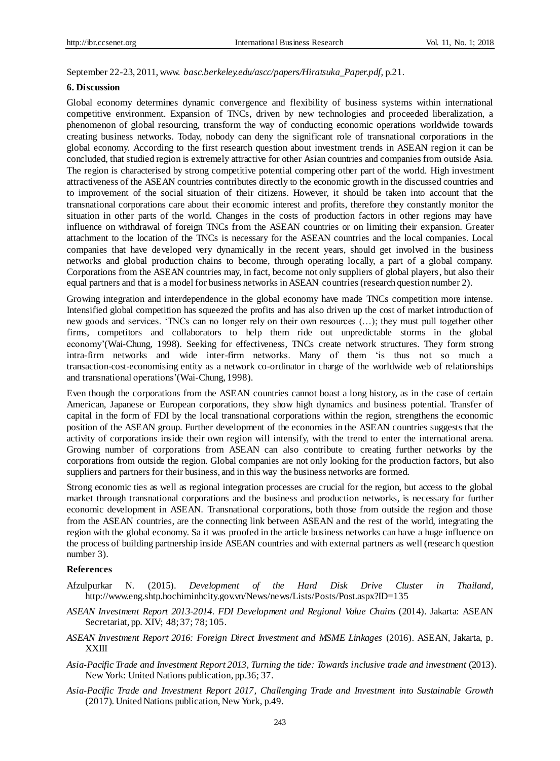September 22-23, 2011, www. *basc.berkeley.edu/ascc/papers/Hiratsuka\_Paper.pdf,* p.21.

#### **6. Discussion**

Global economy determines dynamic convergence and flexibility of business systems within international competitive environment. Expansion of TNCs, driven by new technologies and proceeded liberalization, a phenomenon of global resourcing, transform the way of conducting economic operations worldwide towards creating business networks. Today, nobody can deny the significant role of transnational corporations in the global economy. According to the first research question about investment trends in ASEAN region it can be concluded, that studied region is extremely attractive for other Asian countries and companies from outside Asia. The region is characterised by strong competitive potential compering other part of the world. High investment attractiveness of the ASEAN countries contributes directly to the economic growth in the discussed countries and to improvement of the social situation of their citizens. However, it should be taken into account that the transnational corporations care about their economic interest and profits, therefore they constantly monitor the situation in other parts of the world. Changes in the costs of production factors in other regions may have influence on withdrawal of foreign TNCs from the ASEAN countries or on limiting their expansion. Greater attachment to the location of the TNCs is necessary for the ASEAN countries and the local companies. Local companies that have developed very dynamically in the recent years, should get involved in the business networks and global production chains to become, through operating locally, a part of a global company. Corporations from the ASEAN countries may, in fact, become not only suppliers of global players, but also their equal partners and that is a model for business networks in ASEAN countries (research question number 2).

Growing integration and interdependence in the global economy have made TNCs competition more intense. Intensified global competition has squeezed the profits and has also driven up the cost of market introduction of new goods and services. 'TNCs can no longer rely on their own resources (…); they must pull together other firms, competitors and collaborators to help them ride out unpredictable storms in the global economy'(Wai-Chung, 1998). Seeking for effectiveness, TNCs create network structures. They form strong intra-firm networks and wide inter-firm networks. Many of them 'is thus not so much a transaction-cost-economising entity as a network co-ordinator in charge of the worldwide web of relationships and transnational operations'(Wai-Chung, 1998).

Even though the corporations from the ASEAN countries cannot boast a long history, as in the case of certain American, Japanese or European corporations, they show high dynamics and business potential. Transfer of capital in the form of FDI by the local transnational corporations within the region, strengthens the economic position of the ASEAN group. Further development of the economies in the ASEAN countries suggests that the activity of corporations inside their own region will intensify, with the trend to enter the international arena. Growing number of corporations from ASEAN can also contribute to creating further networks by the corporations from outside the region. Global companies are not only looking for the production factors, but also suppliers and partners for their business, and in this way the business networks are formed.

Strong economic ties as well as regional integration processes are crucial for the region, but access to the global market through transnational corporations and the business and production networks, is necessary for further economic development in ASEAN. Transnational corporations, both those from outside the region and those from the ASEAN countries, are the connecting link between ASEAN and the rest of the world, integrating the region with the global economy. Sa it was proofed in the article business networks can have a huge influence on the process of building partnership inside ASEAN countries and with external partners as well (research question number 3).

#### **References**

- Afzulpurkar N. (2015). *Development of the Hard Disk Drive Cluster in Thailand,* http://www.eng.shtp.hochiminhcity.gov.vn/News/news/Lists/Posts/Post.aspx?ID=135
- *ASEAN Investment Report 2013-2014. FDI Development and Regional Value Chains* (2014). Jakarta: ASEAN Secretariat, pp. XIV; 48; 37; 78; 105.
- *ASEAN Investment Report 2016: Foreign Direct Investment and MSME Linkages* (2016). ASEAN, Jakarta, p. XXIII
- *Asia-Pacific Trade and Investment Report 2013, Turning the tide: Towards inclusive trade and investment* (2013). New York: United Nations publication, pp.36; 37.
- *Asia-Pacific Trade and Investment Report 2017, Challenging Trade and Investment into Sustainable Growth* (2017). United Nations publication, New York, p.49.